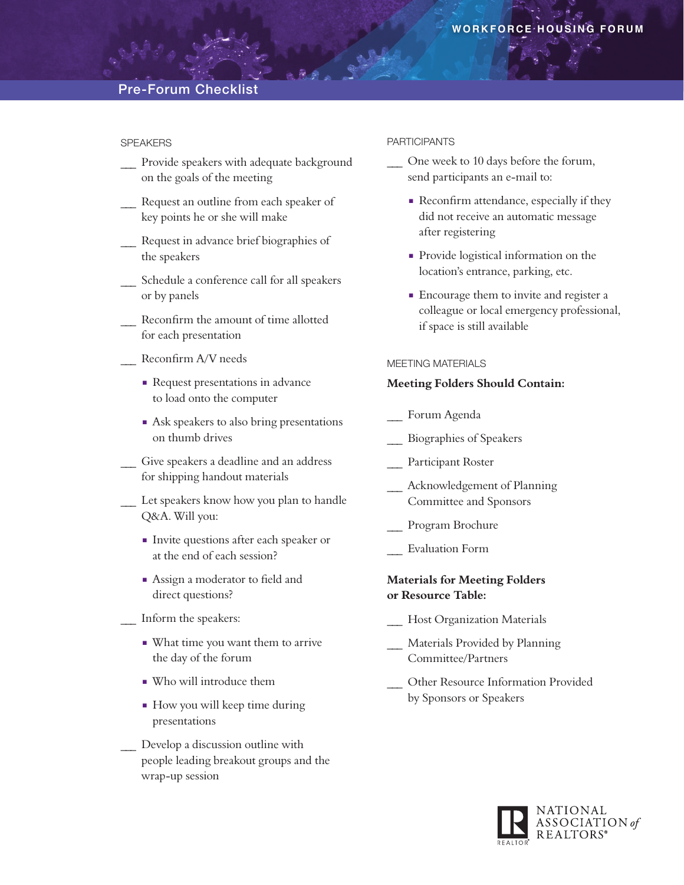## Pre-Forum Checklist

## SPEAKERS

- \_\_\_ Provide speakers with adequate background on the goals of the meeting
- Request an outline from each speaker of key points he or she will make
- Request in advance brief biographies of the speakers
- \_\_\_ Schedule a conference call for all speakers or by panels
- Reconfirm the amount of time allotted for each presentation
- \_\_\_ Reconfirm A/V needs
	- Request presentations in advance to load onto the computer
	- Ask speakers to also bring presentations on thumb drives
- \_\_\_ Give speakers a deadline and an address for shipping handout materials
- Let speakers know how you plan to handle Q&A. Will you:
	- <sup>n</sup> Invite questions after each speaker or at the end of each session?
	- **n** Assign a moderator to field and direct questions?
- \_\_\_ Inform the speakers:
	- What time you want them to arrive the day of the forum
	- $\blacksquare$  Who will introduce them
	- <sup>n</sup> How you will keep time during presentations
- Develop a discussion outline with people leading breakout groups and the wrap-up session

#### PARTICIPANTS

- One week to 10 days before the forum, send participants an e-mail to:
	- Reconfirm attendance, especially if they did not receive an automatic message after registering
	- Provide logistical information on the location's entrance, parking, etc.
	- Encourage them to invite and register a colleague or local emergency professional, if space is still available

## MEETING MATERIALS

#### **Meeting Folders Should Contain:**

- \_\_\_ Forum Agenda
- \_\_\_ Biographies of Speakers
- Participant Roster
- Acknowledgement of Planning Committee and Sponsors
- Program Brochure
- \_\_\_ Evaluation Form

## **Materials for Meeting Folders or Resource Table:**

- Host Organization Materials
- Materials Provided by Planning Committee/Partners
- \_\_\_ Other Resource Information Provided by Sponsors or Speakers